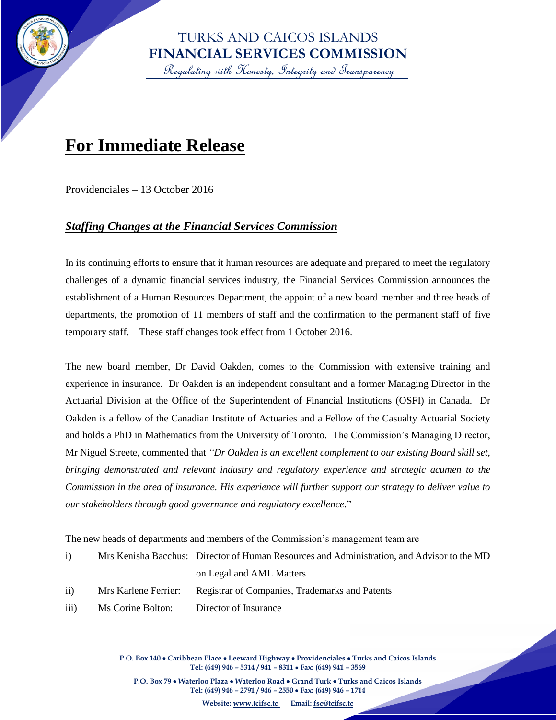

TURKS AND CAICOS ISLANDS **FINANCIAL SERVICES COMMISSION**

Regulating with Honesty, Integrity and Transparency

## **For Immediate Release**

Providenciales – 13 October 2016

## *Staffing Changes at the Financial Services Commission*

In its continuing efforts to ensure that it human resources are adequate and prepared to meet the regulatory challenges of a dynamic financial services industry, the Financial Services Commission announces the establishment of a Human Resources Department, the appoint of a new board member and three heads of departments, the promotion of 11 members of staff and the confirmation to the permanent staff of five temporary staff. These staff changes took effect from 1 October 2016.

The new board member, Dr David Oakden, comes to the Commission with extensive training and experience in insurance. Dr Oakden is an independent consultant and a former Managing Director in the Actuarial Division at the Office of the Superintendent of Financial Institutions (OSFI) in Canada. Dr Oakden is a fellow of the Canadian Institute of Actuaries and a Fellow of the Casualty Actuarial Society and holds a PhD in Mathematics from the University of Toronto. The Commission's Managing Director, Mr Niguel Streete, commented that *"Dr Oakden is an excellent complement to our existing Board skill set, bringing demonstrated and relevant industry and regulatory experience and strategic acumen to the Commission in the area of insurance. His experience will further support our strategy to deliver value to our stakeholders through good governance and regulatory excellence.*"

The new heads of departments and members of the Commission's management team are

| $\mathbf{i}$     |                      | Mrs Kenisha Bacchus: Director of Human Resources and Administration, and Advisor to the MD |
|------------------|----------------------|--------------------------------------------------------------------------------------------|
|                  |                      | on Legal and AML Matters                                                                   |
| $\mathbf{ii}$    | Mrs Karlene Ferrier: | Registrar of Companies, Trademarks and Patents                                             |
| $\overline{iii}$ | Ms Corine Bolton:    | Director of Insurance                                                                      |

**P.O. Box 140** • **Caribbean Place** • **Leeward Highway** • **Providenciales** • **Turks and Caicos Islands Tel: (649) 946 – 5314 / 941 – 8311** • **Fax: (649) 941 – 3569**

**P.O. Box 79** • **Waterloo Plaza** • **Waterloo Road** • **Grand Turk** • **Turks and Caicos Islands Tel: (649) 946 – 2791 / 946 – 2550** • **Fax: (649) 946 – 1714**